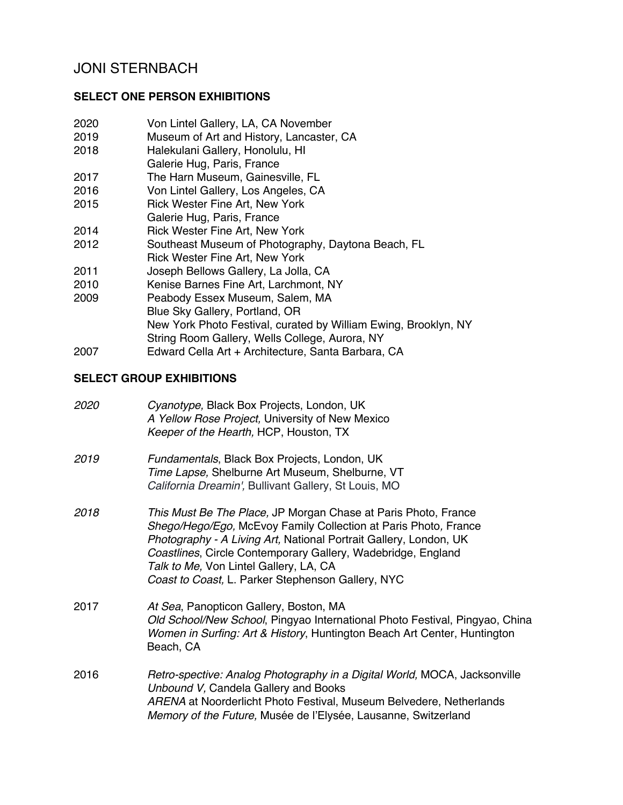# JONI STERNBACH

### **SELECT ONE PERSON EXHIBITIONS**

- 2020 Von Lintel Gallery, LA, CA November<br>2019 Museum of Art and History. Lancaster
- Museum of Art and History, Lancaster, CA
- 2018 Halekulani Gallery, Honolulu, HI
- Galerie Hug, Paris, France
- 2017 The Harn Museum, Gainesville, FL
- 2016 Von Lintel Gallery, Los Angeles, CA
- 2015 Rick Wester Fine Art, New York
- Galerie Hug, Paris, France
- 2014 Rick Wester Fine Art, New York
- 2012 Southeast Museum of Photography, Daytona Beach, FL Rick Wester Fine Art, New York
- 2011 Joseph Bellows Gallery, La Jolla, CA
- 2010 Kenise Barnes Fine Art, Larchmont, NY
- 2009 Peabody Essex Museum, Salem, MA Blue Sky Gallery, Portland, OR New York Photo Festival, curated by William Ewing, Brooklyn, NY String Room Gallery, Wells College, Aurora, NY 2007 Edward Cella Art + Architecture, Santa Barbara, CA

# **SELECT GROUP EXHIBITIONS**

| <i>2020</i> | Cyanotype, Black Box Projects, London, UK<br>A Yellow Rose Project, University of New Mexico<br>Keeper of the Hearth, HCP, Houston, TX                                                                                                                                                                                                                                |
|-------------|-----------------------------------------------------------------------------------------------------------------------------------------------------------------------------------------------------------------------------------------------------------------------------------------------------------------------------------------------------------------------|
| 2019        | Fundamentals, Black Box Projects, London, UK<br>Time Lapse, Shelburne Art Museum, Shelburne, VT<br>California Dreamin', Bullivant Gallery, St Louis, MO                                                                                                                                                                                                               |
| 2018        | This Must Be The Place, JP Morgan Chase at Paris Photo, France<br>Shego/Hego/Ego, McEvoy Family Collection at Paris Photo, France<br>Photography - A Living Art, National Portrait Gallery, London, UK<br>Coastlines, Circle Contemporary Gallery, Wadebridge, England<br>Talk to Me, Von Lintel Gallery, LA, CA<br>Coast to Coast, L. Parker Stephenson Gallery, NYC |
| 2017        | At Sea, Panopticon Gallery, Boston, MA<br>Old School/New School, Pingyao International Photo Festival, Pingyao, China<br>Women in Surfing: Art & History, Huntington Beach Art Center, Huntington<br>Beach, CA                                                                                                                                                        |
| 2016        | Retro-spective: Analog Photography in a Digital World, MOCA, Jacksonville<br>Unbound V, Candela Gallery and Books<br>ARENA at Noorderlicht Photo Festival, Museum Belvedere, Netherlands<br>Memory of the Future, Musée de l'Elysée, Lausanne, Switzerland                                                                                                            |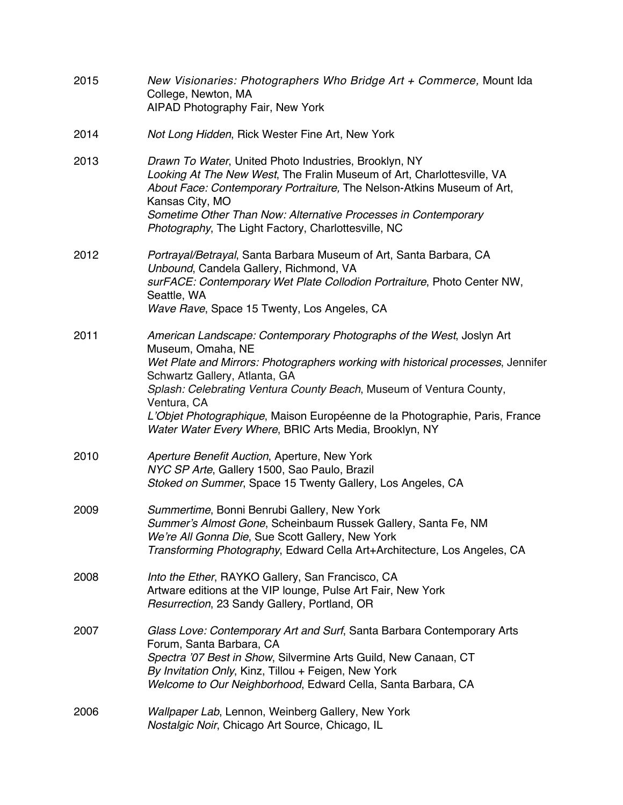| 2015 | New Visionaries: Photographers Who Bridge Art + Commerce, Mount Ida<br>College, Newton, MA<br>AIPAD Photography Fair, New York                                                                                                                                                                                                                                                                                                                |
|------|-----------------------------------------------------------------------------------------------------------------------------------------------------------------------------------------------------------------------------------------------------------------------------------------------------------------------------------------------------------------------------------------------------------------------------------------------|
| 2014 | Not Long Hidden, Rick Wester Fine Art, New York                                                                                                                                                                                                                                                                                                                                                                                               |
| 2013 | Drawn To Water, United Photo Industries, Brooklyn, NY<br>Looking At The New West, The Fralin Museum of Art, Charlottesville, VA<br>About Face: Contemporary Portraiture, The Nelson-Atkins Museum of Art,<br>Kansas City, MO<br>Sometime Other Than Now: Alternative Processes in Contemporary<br>Photography, The Light Factory, Charlottesville, NC                                                                                         |
| 2012 | Portrayal/Betrayal, Santa Barbara Museum of Art, Santa Barbara, CA<br>Unbound, Candela Gallery, Richmond, VA<br>surFACE: Contemporary Wet Plate Collodion Portraiture, Photo Center NW,<br>Seattle, WA<br>Wave Rave, Space 15 Twenty, Los Angeles, CA                                                                                                                                                                                         |
| 2011 | American Landscape: Contemporary Photographs of the West, Joslyn Art<br>Museum, Omaha, NE<br>Wet Plate and Mirrors: Photographers working with historical processes, Jennifer<br>Schwartz Gallery, Atlanta, GA<br>Splash: Celebrating Ventura County Beach, Museum of Ventura County,<br>Ventura, CA<br>L'Objet Photographique, Maison Européenne de la Photographie, Paris, France<br>Water Water Every Where, BRIC Arts Media, Brooklyn, NY |
| 2010 | Aperture Benefit Auction, Aperture, New York<br>NYC SP Arte, Gallery 1500, Sao Paulo, Brazil<br>Stoked on Summer, Space 15 Twenty Gallery, Los Angeles, CA                                                                                                                                                                                                                                                                                    |
| 2009 | Summertime, Bonni Benrubi Gallery, New York<br>Summer's Almost Gone, Scheinbaum Russek Gallery, Santa Fe, NM<br>We're All Gonna Die, Sue Scott Gallery, New York<br>Transforming Photography, Edward Cella Art+Architecture, Los Angeles, CA                                                                                                                                                                                                  |
| 2008 | Into the Ether, RAYKO Gallery, San Francisco, CA<br>Artware editions at the VIP lounge, Pulse Art Fair, New York<br>Resurrection, 23 Sandy Gallery, Portland, OR                                                                                                                                                                                                                                                                              |
| 2007 | Glass Love: Contemporary Art and Surf, Santa Barbara Contemporary Arts<br>Forum, Santa Barbara, CA<br>Spectra '07 Best in Show, Silvermine Arts Guild, New Canaan, CT<br>By Invitation Only, Kinz, Tillou + Feigen, New York<br>Welcome to Our Neighborhood, Edward Cella, Santa Barbara, CA                                                                                                                                                  |
| 2006 | Wallpaper Lab, Lennon, Weinberg Gallery, New York<br>Nostalgic Noir, Chicago Art Source, Chicago, IL                                                                                                                                                                                                                                                                                                                                          |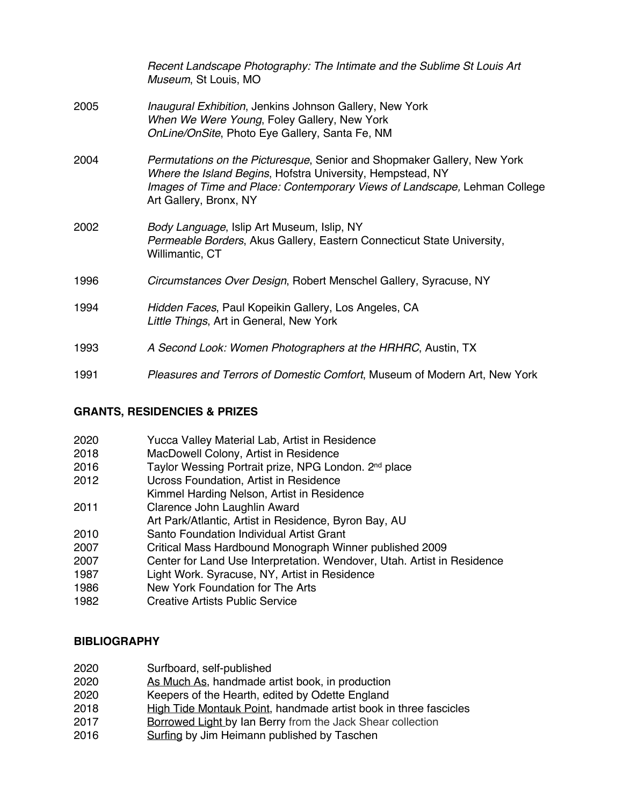|      | Recent Landscape Photography: The Intimate and the Sublime St Louis Art<br>Museum, St Louis, MO                                                                                                                                              |
|------|----------------------------------------------------------------------------------------------------------------------------------------------------------------------------------------------------------------------------------------------|
| 2005 | Inaugural Exhibition, Jenkins Johnson Gallery, New York<br>When We Were Young, Foley Gallery, New York<br>OnLine/OnSite, Photo Eye Gallery, Santa Fe, NM                                                                                     |
| 2004 | Permutations on the Picturesque, Senior and Shopmaker Gallery, New York<br>Where the Island Begins, Hofstra University, Hempstead, NY<br>Images of Time and Place: Contemporary Views of Landscape, Lehman College<br>Art Gallery, Bronx, NY |
| 2002 | Body Language, Islip Art Museum, Islip, NY<br>Permeable Borders, Akus Gallery, Eastern Connecticut State University,<br>Willimantic, CT                                                                                                      |
| 1996 | Circumstances Over Design, Robert Menschel Gallery, Syracuse, NY                                                                                                                                                                             |
| 1994 | Hidden Faces, Paul Kopeikin Gallery, Los Angeles, CA<br>Little Things, Art in General, New York                                                                                                                                              |
| 1993 | A Second Look: Women Photographers at the HRHRC, Austin, TX                                                                                                                                                                                  |
| 1991 | Pleasures and Terrors of Domestic Comfort, Museum of Modern Art, New York                                                                                                                                                                    |

## **GRANTS, RESIDENCIES & PRIZES**

| 2020 | Yucca Valley Material Lab, Artist in Residence                          |
|------|-------------------------------------------------------------------------|
| 2018 | MacDowell Colony, Artist in Residence                                   |
| 2016 | Taylor Wessing Portrait prize, NPG London. 2 <sup>nd</sup> place        |
| 2012 | Ucross Foundation, Artist in Residence                                  |
|      | Kimmel Harding Nelson, Artist in Residence                              |
| 2011 | Clarence John Laughlin Award                                            |
|      | Art Park/Atlantic, Artist in Residence, Byron Bay, AU                   |
| 2010 | Santo Foundation Individual Artist Grant                                |
| 2007 | Critical Mass Hardbound Monograph Winner published 2009                 |
| 2007 | Center for Land Use Interpretation. Wendover, Utah. Artist in Residence |
| 1987 | Light Work. Syracuse, NY, Artist in Residence                           |
| 1086 | New York Foundation for The Arte                                        |

1986 New York Foundation for The Arts **Creative Artists Public Service** 

#### **BIBLIOGRAPHY**

- 2020 Surfboard, self-published
- 2020 As Much As, handmade artist book, in production
- 2020 Keepers of the Hearth, edited by Odette England<br>2018 High Tide Montauk Point, handmade artist book in
- High Tide Montauk Point, handmade artist book in three fascicles
- 2017 Borrowed Light by Ian Berry from the Jack Shear collection
- 2016 **Surfing by Jim Heimann published by Taschen**